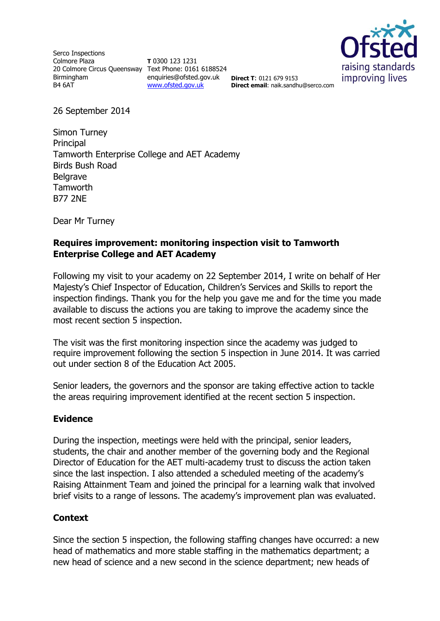Serco Inspections Colmore Plaza 20 Colmore Circus Queensway Text Phone: 0161 6188524 Birmingham B4 6AT

**T** 0300 123 1231 enquiries@ofsted.gov.uk **Direct T**: 0121 679 9153 [www.ofsted.gov.uk](http://www.ofsted.gov.uk/)



**Direct email**: naik.sandhu@serco.com

26 September 2014

Simon Turney Principal Tamworth Enterprise College and AET Academy Birds Bush Road **Belgrave Tamworth** B77 2NE

Dear Mr Turney

## **Requires improvement: monitoring inspection visit to Tamworth Enterprise College and AET Academy**

Following my visit to your academy on 22 September 2014, I write on behalf of Her Majesty's Chief Inspector of Education, Children's Services and Skills to report the inspection findings. Thank you for the help you gave me and for the time you made available to discuss the actions you are taking to improve the academy since the most recent section 5 inspection.

The visit was the first monitoring inspection since the academy was judged to require improvement following the section 5 inspection in June 2014. It was carried out under section 8 of the Education Act 2005.

Senior leaders, the governors and the sponsor are taking effective action to tackle the areas requiring improvement identified at the recent section 5 inspection.

### **Evidence**

During the inspection, meetings were held with the principal, senior leaders, students, the chair and another member of the governing body and the Regional Director of Education for the AET multi-academy trust to discuss the action taken since the last inspection. I also attended a scheduled meeting of the academy's Raising Attainment Team and joined the principal for a learning walk that involved brief visits to a range of lessons. The academy's improvement plan was evaluated.

### **Context**

Since the section 5 inspection, the following staffing changes have occurred: a new head of mathematics and more stable staffing in the mathematics department; a new head of science and a new second in the science department; new heads of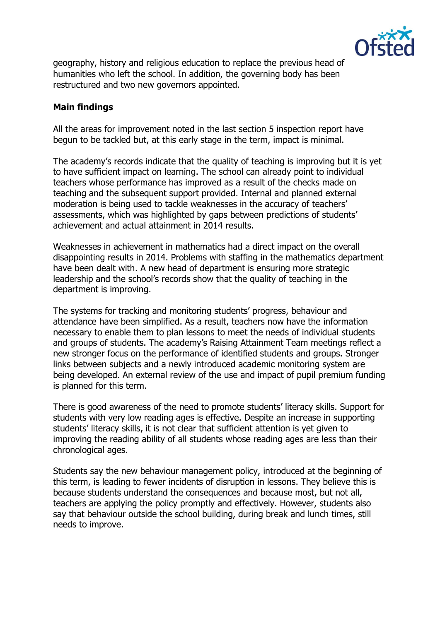

geography, history and religious education to replace the previous head of humanities who left the school. In addition, the governing body has been restructured and two new governors appointed.

# **Main findings**

All the areas for improvement noted in the last section 5 inspection report have begun to be tackled but, at this early stage in the term, impact is minimal.

The academy's records indicate that the quality of teaching is improving but it is yet to have sufficient impact on learning. The school can already point to individual teachers whose performance has improved as a result of the checks made on teaching and the subsequent support provided. Internal and planned external moderation is being used to tackle weaknesses in the accuracy of teachers' assessments, which was highlighted by gaps between predictions of students' achievement and actual attainment in 2014 results.

Weaknesses in achievement in mathematics had a direct impact on the overall disappointing results in 2014. Problems with staffing in the mathematics department have been dealt with. A new head of department is ensuring more strategic leadership and the school's records show that the quality of teaching in the department is improving.

The systems for tracking and monitoring students' progress, behaviour and attendance have been simplified. As a result, teachers now have the information necessary to enable them to plan lessons to meet the needs of individual students and groups of students. The academy's Raising Attainment Team meetings reflect a new stronger focus on the performance of identified students and groups. Stronger links between subjects and a newly introduced academic monitoring system are being developed. An external review of the use and impact of pupil premium funding is planned for this term.

There is good awareness of the need to promote students' literacy skills. Support for students with very low reading ages is effective. Despite an increase in supporting students' literacy skills, it is not clear that sufficient attention is yet given to improving the reading ability of all students whose reading ages are less than their chronological ages.

Students say the new behaviour management policy, introduced at the beginning of this term, is leading to fewer incidents of disruption in lessons. They believe this is because students understand the consequences and because most, but not all, teachers are applying the policy promptly and effectively. However, students also say that behaviour outside the school building, during break and lunch times, still needs to improve.